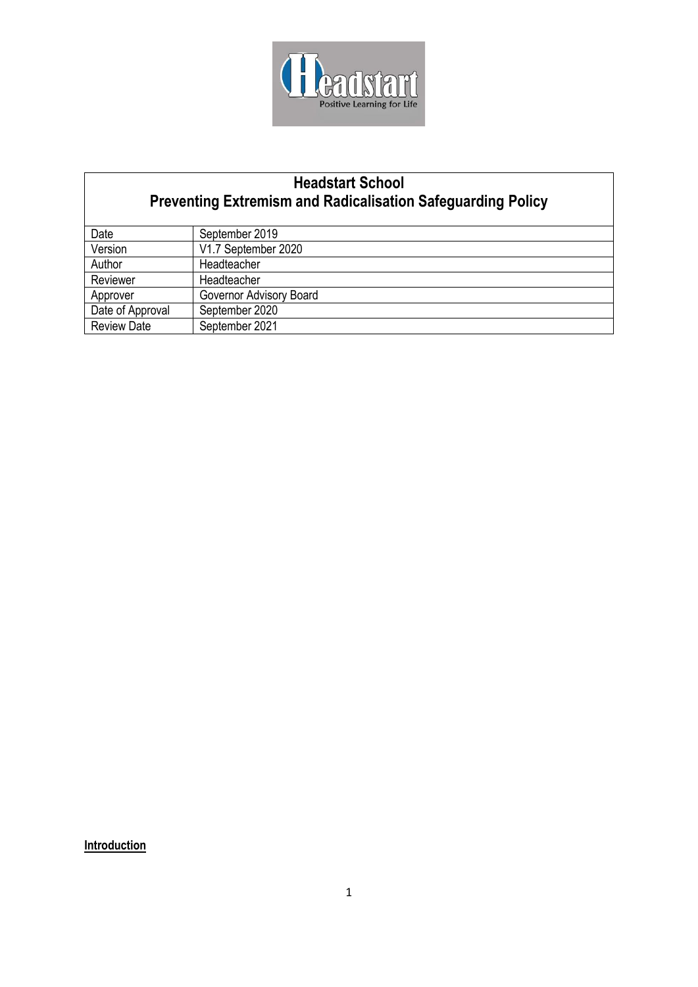

# **Headstart School Preventing Extremism and Radicalisation Safeguarding Policy**

| Date               | September 2019          |
|--------------------|-------------------------|
| Version            | V1.7 September 2020     |
| Author             | Headteacher             |
| Reviewer           | Headteacher             |
| Approver           | Governor Advisory Board |
| Date of Approval   | September 2020          |
| <b>Review Date</b> | September 2021          |

**Introduction**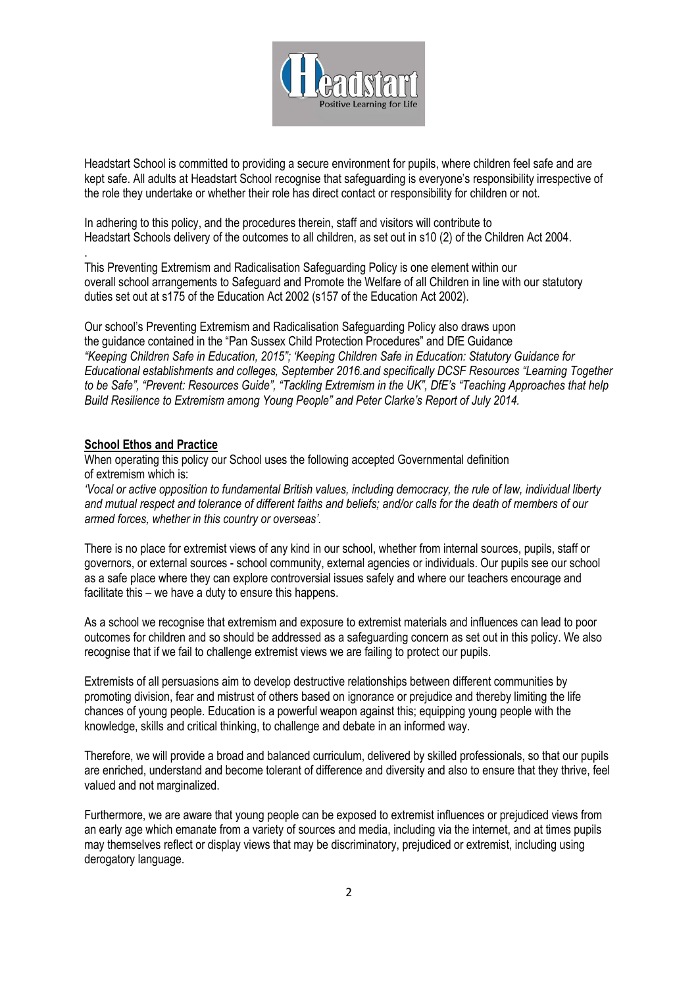

Headstart School is committed to providing a secure environment for pupils, where children feel safe and are kept safe. All adults at Headstart School recognise that safeguarding is everyone's responsibility irrespective of the role they undertake or whether their role has direct contact or responsibility for children or not.

In adhering to this policy, and the procedures therein, staff and visitors will contribute to Headstart Schools delivery of the outcomes to all children, as set out in s10 (2) of the Children Act 2004.

This Preventing Extremism and Radicalisation Safeguarding Policy is one element within our overall school arrangements to Safeguard and Promote the Welfare of all Children in line with our statutory duties set out at s175 of the Education Act 2002 (s157 of the Education Act 2002).

Our school's Preventing Extremism and Radicalisation Safeguarding Policy also draws upon the guidance contained in the "Pan Sussex Child Protection Procedures" and DfE Guidance *"Keeping Children Safe in Education, 2015"; 'Keeping Children Safe in Education: Statutory Guidance for Educational establishments and colleges, September 2016.and specifically DCSF Resources "Learning Together to be Safe", "Prevent: Resources Guide", "Tackling Extremism in the UK", DfE's "Teaching Approaches that help Build Resilience to Extremism among Young People" and Peter Clarke's Report of July 2014.*

### **School Ethos and Practice**

.

When operating this policy our School uses the following accepted Governmental definition of extremism which is:

*'Vocal or active opposition to fundamental British values, including democracy, the rule of law, individual liberty and mutual respect and tolerance of different faiths and beliefs; and/or calls for the death of members of our armed forces, whether in this country or overseas'.*

There is no place for extremist views of any kind in our school, whether from internal sources, pupils, staff or governors, or external sources - school community, external agencies or individuals. Our pupils see our school as a safe place where they can explore controversial issues safely and where our teachers encourage and facilitate this – we have a duty to ensure this happens.

As a school we recognise that extremism and exposure to extremist materials and influences can lead to poor outcomes for children and so should be addressed as a safeguarding concern as set out in this policy. We also recognise that if we fail to challenge extremist views we are failing to protect our pupils.

Extremists of all persuasions aim to develop destructive relationships between different communities by promoting division, fear and mistrust of others based on ignorance or prejudice and thereby limiting the life chances of young people. Education is a powerful weapon against this; equipping young people with the knowledge, skills and critical thinking, to challenge and debate in an informed way.

Therefore, we will provide a broad and balanced curriculum, delivered by skilled professionals, so that our pupils are enriched, understand and become tolerant of difference and diversity and also to ensure that they thrive, feel valued and not marginalized.

Furthermore, we are aware that young people can be exposed to extremist influences or prejudiced views from an early age which emanate from a variety of sources and media, including via the internet, and at times pupils may themselves reflect or display views that may be discriminatory, prejudiced or extremist, including using derogatory language.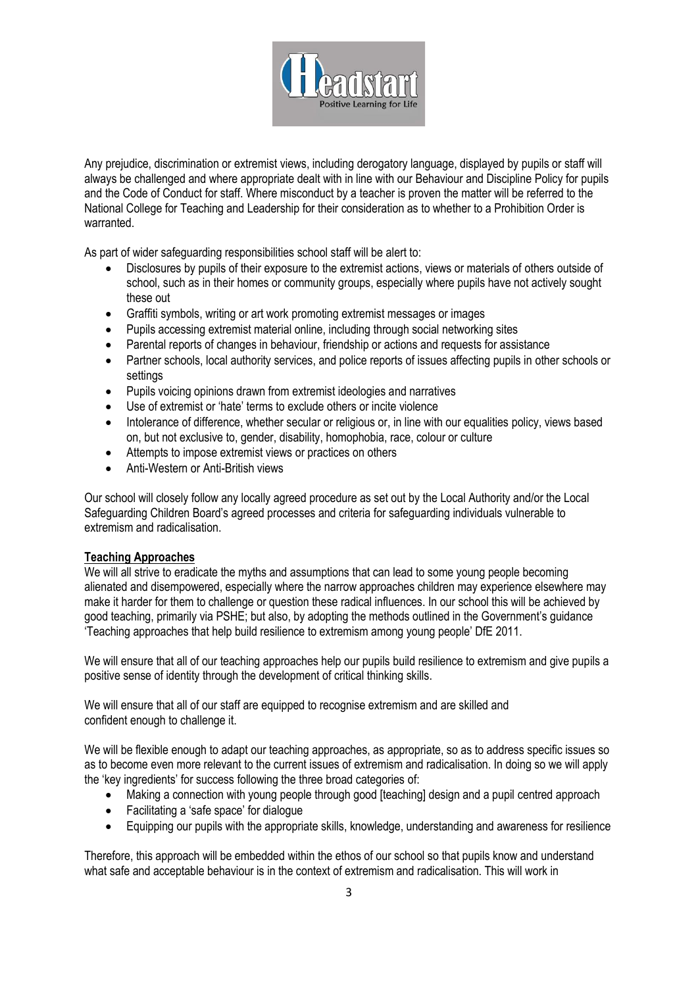

Any prejudice, discrimination or extremist views, including derogatory language, displayed by pupils or staff will always be challenged and where appropriate dealt with in line with our Behaviour and Discipline Policy for pupils and the Code of Conduct for staff. Where misconduct by a teacher is proven the matter will be referred to the National College for Teaching and Leadership for their consideration as to whether to a Prohibition Order is warranted.

As part of wider safeguarding responsibilities school staff will be alert to:

- Disclosures by pupils of their exposure to the extremist actions, views or materials of others outside of school, such as in their homes or community groups, especially where pupils have not actively sought these out
- Graffiti symbols, writing or art work promoting extremist messages or images
- Pupils accessing extremist material online, including through social networking sites
- Parental reports of changes in behaviour, friendship or actions and requests for assistance
- Partner schools, local authority services, and police reports of issues affecting pupils in other schools or settings
- Pupils voicing opinions drawn from extremist ideologies and narratives
- Use of extremist or 'hate' terms to exclude others or incite violence
- Intolerance of difference, whether secular or religious or, in line with our equalities policy, views based on, but not exclusive to, gender, disability, homophobia, race, colour or culture
- Attempts to impose extremist views or practices on others
- Anti-Western or Anti-British views

Our school will closely follow any locally agreed procedure as set out by the Local Authority and/or the Local Safeguarding Children Board's agreed processes and criteria for safeguarding individuals vulnerable to extremism and radicalisation.

### **Teaching Approaches**

We will all strive to eradicate the myths and assumptions that can lead to some young people becoming alienated and disempowered, especially where the narrow approaches children may experience elsewhere may make it harder for them to challenge or question these radical influences. In our school this will be achieved by good teaching, primarily via PSHE; but also, by adopting the methods outlined in the Government's guidance 'Teaching approaches that help build resilience to extremism among young people' DfE 2011.

We will ensure that all of our teaching approaches help our pupils build resilience to extremism and give pupils a positive sense of identity through the development of critical thinking skills.

We will ensure that all of our staff are equipped to recognise extremism and are skilled and confident enough to challenge it.

We will be flexible enough to adapt our teaching approaches, as appropriate, so as to address specific issues so as to become even more relevant to the current issues of extremism and radicalisation. In doing so we will apply the 'key ingredients' for success following the three broad categories of:

- Making a connection with young people through good [teaching] design and a pupil centred approach
- Facilitating a 'safe space' for dialogue
- Equipping our pupils with the appropriate skills, knowledge, understanding and awareness for resilience

Therefore, this approach will be embedded within the ethos of our school so that pupils know and understand what safe and acceptable behaviour is in the context of extremism and radicalisation. This will work in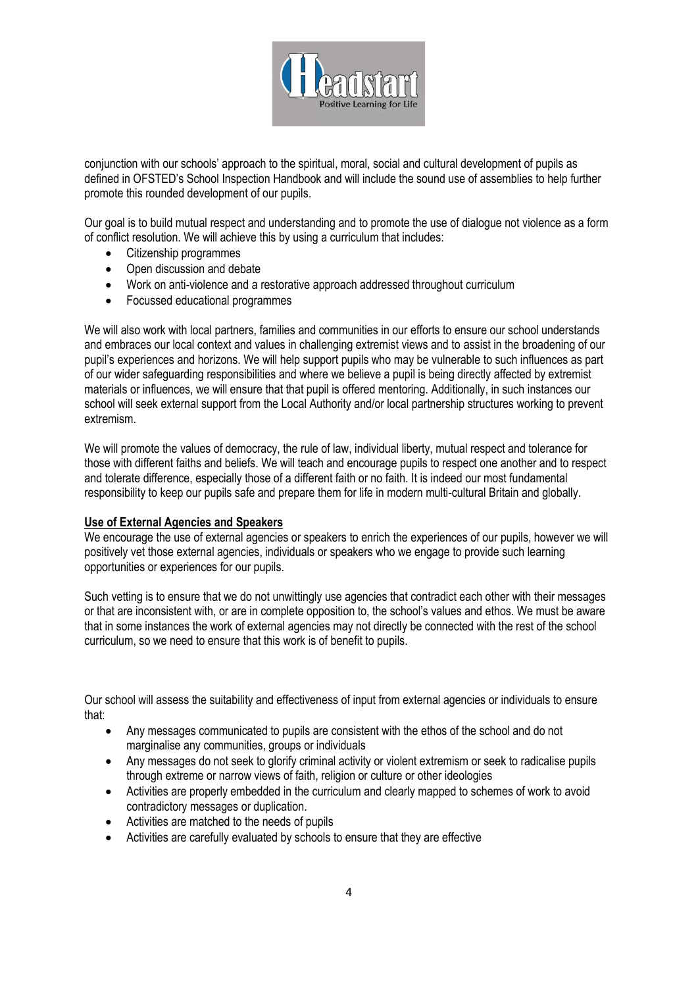

conjunction with our schools' approach to the spiritual, moral, social and cultural development of pupils as defined in OFSTED's School Inspection Handbook and will include the sound use of assemblies to help further promote this rounded development of our pupils.

Our goal is to build mutual respect and understanding and to promote the use of dialogue not violence as a form of conflict resolution. We will achieve this by using a curriculum that includes:

- Citizenship programmes
- Open discussion and debate
- Work on anti-violence and a restorative approach addressed throughout curriculum
- Focussed educational programmes

We will also work with local partners, families and communities in our efforts to ensure our school understands and embraces our local context and values in challenging extremist views and to assist in the broadening of our pupil's experiences and horizons. We will help support pupils who may be vulnerable to such influences as part of our wider safeguarding responsibilities and where we believe a pupil is being directly affected by extremist materials or influences, we will ensure that that pupil is offered mentoring. Additionally, in such instances our school will seek external support from the Local Authority and/or local partnership structures working to prevent extremism.

We will promote the values of democracy, the rule of law, individual liberty, mutual respect and tolerance for those with different faiths and beliefs. We will teach and encourage pupils to respect one another and to respect and tolerate difference, especially those of a different faith or no faith. It is indeed our most fundamental responsibility to keep our pupils safe and prepare them for life in modern multi-cultural Britain and globally.

### **Use of External Agencies and Speakers**

We encourage the use of external agencies or speakers to enrich the experiences of our pupils, however we will positively vet those external agencies, individuals or speakers who we engage to provide such learning opportunities or experiences for our pupils.

Such vetting is to ensure that we do not unwittingly use agencies that contradict each other with their messages or that are inconsistent with, or are in complete opposition to, the school's values and ethos. We must be aware that in some instances the work of external agencies may not directly be connected with the rest of the school curriculum, so we need to ensure that this work is of benefit to pupils.

Our school will assess the suitability and effectiveness of input from external agencies or individuals to ensure that:

- Any messages communicated to pupils are consistent with the ethos of the school and do not marginalise any communities, groups or individuals
- Any messages do not seek to glorify criminal activity or violent extremism or seek to radicalise pupils through extreme or narrow views of faith, religion or culture or other ideologies
- Activities are properly embedded in the curriculum and clearly mapped to schemes of work to avoid contradictory messages or duplication.
- Activities are matched to the needs of pupils
- Activities are carefully evaluated by schools to ensure that they are effective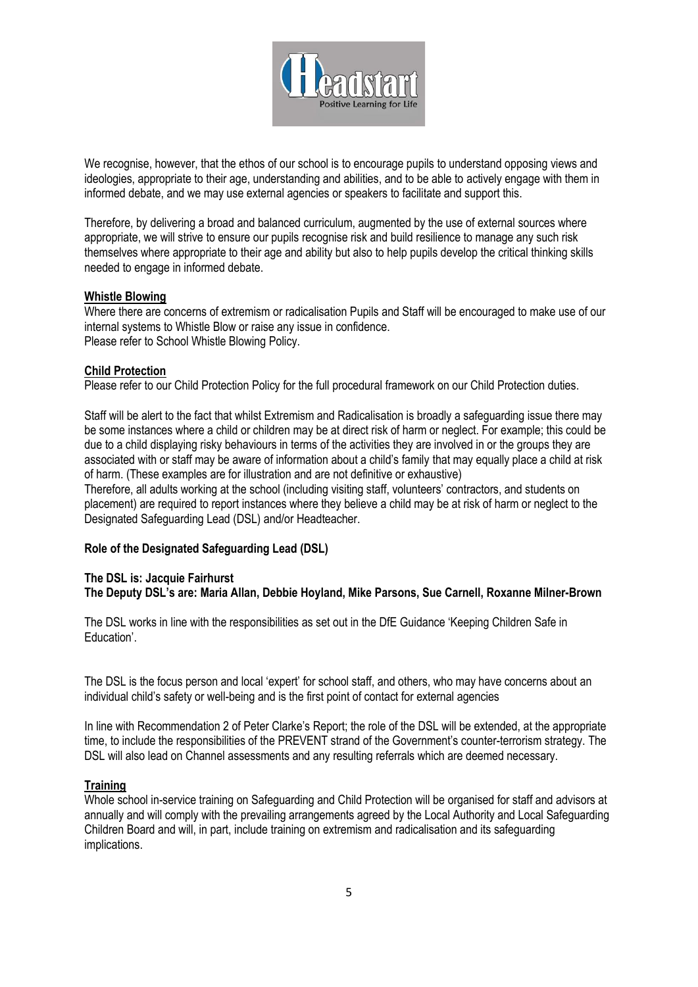

We recognise, however, that the ethos of our school is to encourage pupils to understand opposing views and ideologies, appropriate to their age, understanding and abilities, and to be able to actively engage with them in informed debate, and we may use external agencies or speakers to facilitate and support this.

Therefore, by delivering a broad and balanced curriculum, augmented by the use of external sources where appropriate, we will strive to ensure our pupils recognise risk and build resilience to manage any such risk themselves where appropriate to their age and ability but also to help pupils develop the critical thinking skills needed to engage in informed debate.

### **Whistle Blowing**

Where there are concerns of extremism or radicalisation Pupils and Staff will be encouraged to make use of our internal systems to Whistle Blow or raise any issue in confidence. Please refer to School Whistle Blowing Policy.

### **Child Protection**

Please refer to our Child Protection Policy for the full procedural framework on our Child Protection duties.

Staff will be alert to the fact that whilst Extremism and Radicalisation is broadly a safeguarding issue there may be some instances where a child or children may be at direct risk of harm or neglect. For example; this could be due to a child displaying risky behaviours in terms of the activities they are involved in or the groups they are associated with or staff may be aware of information about a child's family that may equally place a child at risk of harm. (These examples are for illustration and are not definitive or exhaustive)

Therefore, all adults working at the school (including visiting staff, volunteers' contractors, and students on placement) are required to report instances where they believe a child may be at risk of harm or neglect to the Designated Safeguarding Lead (DSL) and/or Headteacher.

### **Role of the Designated Safeguarding Lead (DSL)**

### **The DSL is: Jacquie Fairhurst The Deputy DSL's are: Maria Allan, Debbie Hoyland, Mike Parsons, Sue Carnell, Roxanne Milner-Brown**

The DSL works in line with the responsibilities as set out in the DfE Guidance 'Keeping Children Safe in Education'.

The DSL is the focus person and local 'expert' for school staff, and others, who may have concerns about an individual child's safety or well-being and is the first point of contact for external agencies

In line with Recommendation 2 of Peter Clarke's Report; the role of the DSL will be extended, at the appropriate time, to include the responsibilities of the PREVENT strand of the Government's counter-terrorism strategy. The DSL will also lead on Channel assessments and any resulting referrals which are deemed necessary.

### **Training**

Whole school in-service training on Safeguarding and Child Protection will be organised for staff and advisors at annually and will comply with the prevailing arrangements agreed by the Local Authority and Local Safeguarding Children Board and will, in part, include training on extremism and radicalisation and its safeguarding implications.